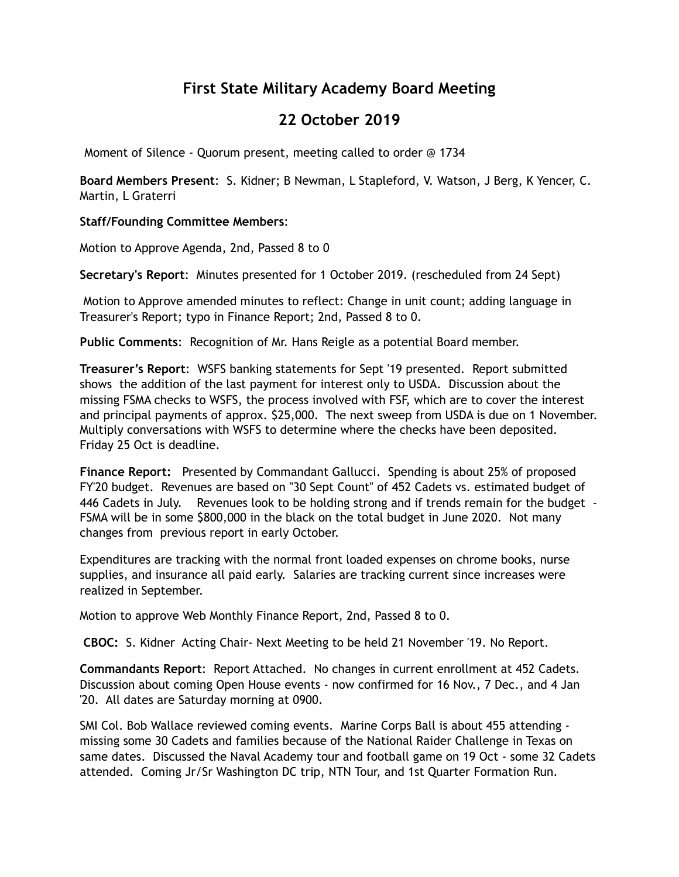# **First State Military Academy Board Meeting**

## **22 October 2019**

Moment of Silence - Quorum present, meeting called to order @ 1734

**Board Members Present**: S. Kidner; B Newman, L Stapleford, V. Watson, J Berg, K Yencer, C. Martin, L Graterri

## **Staff/Founding Committee Members**:

Motion to Approve Agenda, 2nd, Passed 8 to 0

**Secretary's Report**: Minutes presented for 1 October 2019. (rescheduled from 24 Sept)

 Motion to Approve amended minutes to reflect: Change in unit count; adding language in Treasurer's Report; typo in Finance Report; 2nd, Passed 8 to 0.

**Public Comments**: Recognition of Mr. Hans Reigle as a potential Board member.

**Treasurer's Report**: WSFS banking statements for Sept '19 presented. Report submitted shows the addition of the last payment for interest only to USDA. Discussion about the missing FSMA checks to WSFS, the process involved with FSF, which are to cover the interest and principal payments of approx. \$25,000. The next sweep from USDA is due on 1 November. Multiply conversations with WSFS to determine where the checks have been deposited. Friday 25 Oct is deadline.

**Finance Report:** Presented by Commandant Gallucci. Spending is about 25% of proposed FY'20 budget. Revenues are based on "30 Sept Count" of 452 Cadets vs. estimated budget of 446 Cadets in July. Revenues look to be holding strong and if trends remain for the budget - FSMA will be in some \$800,000 in the black on the total budget in June 2020. Not many changes from previous report in early October.

Expenditures are tracking with the normal front loaded expenses on chrome books, nurse supplies, and insurance all paid early. Salaries are tracking current since increases were realized in September.

Motion to approve Web Monthly Finance Report, 2nd, Passed 8 to 0.

**CBOC:** S. Kidner Acting Chair- Next Meeting to be held 21 November '19. No Report.

**Commandants Report**: Report Attached. No changes in current enrollment at 452 Cadets. Discussion about coming Open House events - now confirmed for 16 Nov., 7 Dec., and 4 Jan '20. All dates are Saturday morning at 0900.

SMI Col. Bob Wallace reviewed coming events. Marine Corps Ball is about 455 attending missing some 30 Cadets and families because of the National Raider Challenge in Texas on same dates. Discussed the Naval Academy tour and football game on 19 Oct - some 32 Cadets attended. Coming Jr/Sr Washington DC trip, NTN Tour, and 1st Quarter Formation Run.